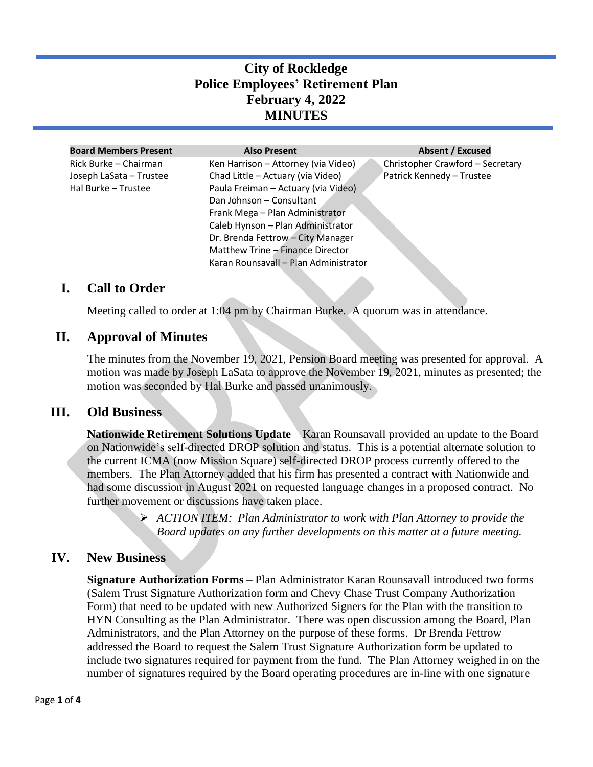# **City of Rockledge Police Employees' Retirement Plan February 4, 2022 MINUTES**

| <b>Board Members Present</b> | <b>Also Present</b>                   | <b>Absent / Excused</b>          |
|------------------------------|---------------------------------------|----------------------------------|
| Rick Burke – Chairman        | Ken Harrison - Attorney (via Video)   | Christopher Crawford - Secretary |
| Joseph LaSata - Trustee      | Chad Little - Actuary (via Video)     | Patrick Kennedy - Trustee        |
| Hal Burke - Trustee          | Paula Freiman - Actuary (via Video)   |                                  |
|                              | Dan Johnson - Consultant              |                                  |
|                              | Frank Mega - Plan Administrator       |                                  |
|                              | Caleb Hynson - Plan Administrator     |                                  |
|                              | Dr. Brenda Fettrow - City Manager     |                                  |
|                              | Matthew Trine - Finance Director      |                                  |
|                              | Karan Rounsavall - Plan Administrator |                                  |

### **I. Call to Order**

Meeting called to order at 1:04 pm by Chairman Burke. A quorum was in attendance.

#### **II. Approval of Minutes**

The minutes from the November 19, 2021, Pension Board meeting was presented for approval. A motion was made by Joseph LaSata to approve the November 19, 2021, minutes as presented; the motion was seconded by Hal Burke and passed unanimously.

#### **III. Old Business**

**Nationwide Retirement Solutions Update** – Karan Rounsavall provided an update to the Board on Nationwide's self-directed DROP solution and status. This is a potential alternate solution to the current ICMA (now Mission Square) self-directed DROP process currently offered to the members. The Plan Attorney added that his firm has presented a contract with Nationwide and had some discussion in August 2021 on requested language changes in a proposed contract. No further movement or discussions have taken place.

> ➢ *ACTION ITEM: Plan Administrator to work with Plan Attorney to provide the Board updates on any further developments on this matter at a future meeting.*

#### **IV. New Business**

**Signature Authorization Forms** – Plan Administrator Karan Rounsavall introduced two forms (Salem Trust Signature Authorization form and Chevy Chase Trust Company Authorization Form) that need to be updated with new Authorized Signers for the Plan with the transition to HYN Consulting as the Plan Administrator. There was open discussion among the Board, Plan Administrators, and the Plan Attorney on the purpose of these forms. Dr Brenda Fettrow addressed the Board to request the Salem Trust Signature Authorization form be updated to include two signatures required for payment from the fund. The Plan Attorney weighed in on the number of signatures required by the Board operating procedures are in-line with one signature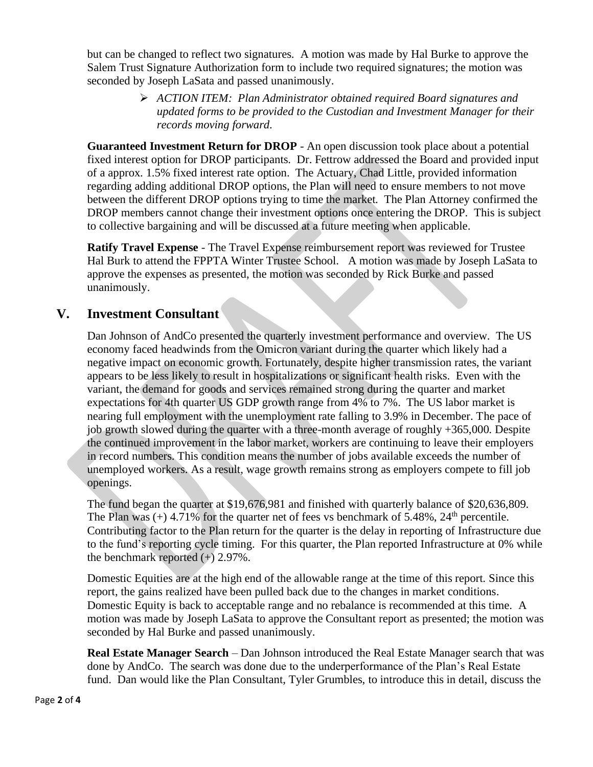but can be changed to reflect two signatures. A motion was made by Hal Burke to approve the Salem Trust Signature Authorization form to include two required signatures; the motion was seconded by Joseph LaSata and passed unanimously.

> ➢ *ACTION ITEM: Plan Administrator obtained required Board signatures and updated forms to be provided to the Custodian and Investment Manager for their records moving forward.*

**Guaranteed Investment Return for DROP** - An open discussion took place about a potential fixed interest option for DROP participants. Dr. Fettrow addressed the Board and provided input of a approx. 1.5% fixed interest rate option. The Actuary, Chad Little, provided information regarding adding additional DROP options, the Plan will need to ensure members to not move between the different DROP options trying to time the market. The Plan Attorney confirmed the DROP members cannot change their investment options once entering the DROP. This is subject to collective bargaining and will be discussed at a future meeting when applicable.

**Ratify Travel Expense** - The Travel Expense reimbursement report was reviewed for Trustee Hal Burk to attend the FPPTA Winter Trustee School. A motion was made by Joseph LaSata to approve the expenses as presented, the motion was seconded by Rick Burke and passed unanimously.

## **V. Investment Consultant**

Dan Johnson of AndCo presented the quarterly investment performance and overview. The US economy faced headwinds from the Omicron variant during the quarter which likely had a negative impact on economic growth. Fortunately, despite higher transmission rates, the variant appears to be less likely to result in hospitalizations or significant health risks. Even with the variant, the demand for goods and services remained strong during the quarter and market expectations for 4th quarter US GDP growth range from 4% to 7%. The US labor market is nearing full employment with the unemployment rate falling to 3.9% in December. The pace of job growth slowed during the quarter with a three-month average of roughly +365,000. Despite the continued improvement in the labor market, workers are continuing to leave their employers in record numbers. This condition means the number of jobs available exceeds the number of unemployed workers. As a result, wage growth remains strong as employers compete to fill job openings.

The fund began the quarter at \$19,676,981 and finished with quarterly balance of \$20,636,809. The Plan was  $(+)$  4.71% for the quarter net of fees vs benchmark of 5.48%, 24<sup>th</sup> percentile. Contributing factor to the Plan return for the quarter is the delay in reporting of Infrastructure due to the fund's reporting cycle timing. For this quarter, the Plan reported Infrastructure at 0% while the benchmark reported  $(+)$  2.97%.

Domestic Equities are at the high end of the allowable range at the time of this report. Since this report, the gains realized have been pulled back due to the changes in market conditions. Domestic Equity is back to acceptable range and no rebalance is recommended at this time. A motion was made by Joseph LaSata to approve the Consultant report as presented; the motion was seconded by Hal Burke and passed unanimously.

**Real Estate Manager Search** – Dan Johnson introduced the Real Estate Manager search that was done by AndCo. The search was done due to the underperformance of the Plan's Real Estate fund. Dan would like the Plan Consultant, Tyler Grumbles, to introduce this in detail, discuss the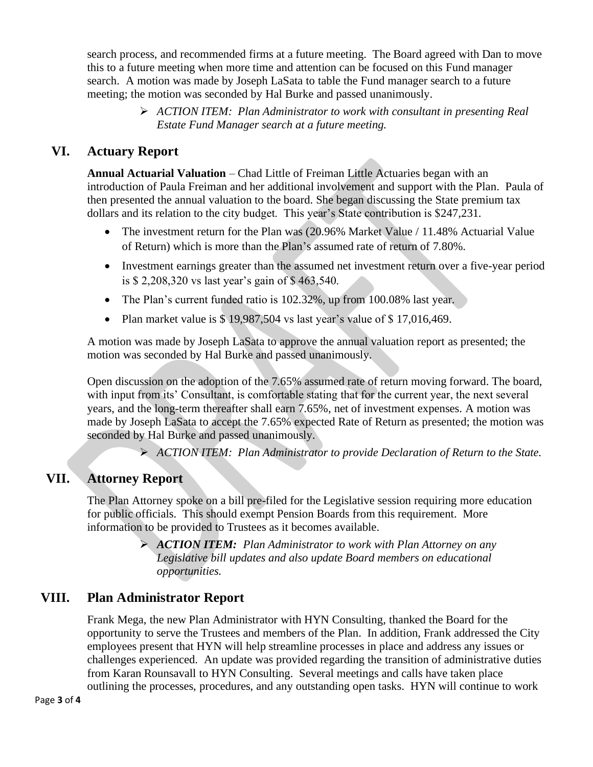search process, and recommended firms at a future meeting. The Board agreed with Dan to move this to a future meeting when more time and attention can be focused on this Fund manager search. A motion was made by Joseph LaSata to table the Fund manager search to a future meeting; the motion was seconded by Hal Burke and passed unanimously.

> ➢ *ACTION ITEM: Plan Administrator to work with consultant in presenting Real Estate Fund Manager search at a future meeting.*

# **VI. Actuary Report**

**Annual Actuarial Valuation** – Chad Little of Freiman Little Actuaries began with an introduction of Paula Freiman and her additional involvement and support with the Plan. Paula of then presented the annual valuation to the board. She began discussing the State premium tax dollars and its relation to the city budget. This year's State contribution is \$247,231.

- The investment return for the Plan was (20.96% Market Value / 11.48% Actuarial Value of Return) which is more than the Plan's assumed rate of return of 7.80%.
- Investment earnings greater than the assumed net investment return over a five-year period is \$ 2,208,320 vs last year's gain of \$ 463,540.
- The Plan's current funded ratio is 102.32%, up from 100.08% last year.
- Plan market value is \$ 19,987,504 vs last year's value of \$ 17,016,469.

A motion was made by Joseph LaSata to approve the annual valuation report as presented; the motion was seconded by Hal Burke and passed unanimously.

Open discussion on the adoption of the 7.65% assumed rate of return moving forward. The board, with input from its' Consultant, is comfortable stating that for the current year, the next several years, and the long-term thereafter shall earn 7.65%, net of investment expenses. A motion was made by Joseph LaSata to accept the 7.65% expected Rate of Return as presented; the motion was seconded by Hal Burke and passed unanimously.

➢ *ACTION ITEM: Plan Administrator to provide Declaration of Return to the State.* 

# **VII. Attorney Report**

The Plan Attorney spoke on a bill pre-filed for the Legislative session requiring more education for public officials. This should exempt Pension Boards from this requirement. More information to be provided to Trustees as it becomes available.

> ➢ *ACTION ITEM: Plan Administrator to work with Plan Attorney on any Legislative bill updates and also update Board members on educational opportunities.*

## **VIII. Plan Administrator Report**

Frank Mega, the new Plan Administrator with HYN Consulting, thanked the Board for the opportunity to serve the Trustees and members of the Plan. In addition, Frank addressed the City employees present that HYN will help streamline processes in place and address any issues or challenges experienced. An update was provided regarding the transition of administrative duties from Karan Rounsavall to HYN Consulting. Several meetings and calls have taken place outlining the processes, procedures, and any outstanding open tasks. HYN will continue to work